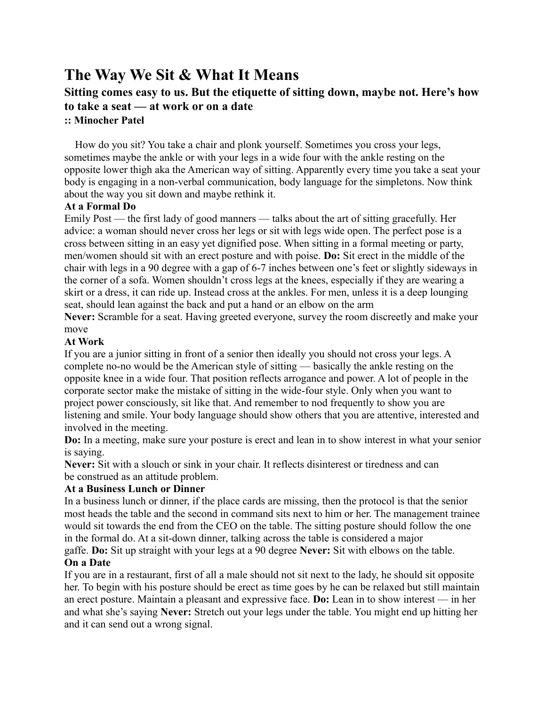# **The Way We Sit & What It Means**

# **Sitting comes easy to us. But the etiquette of sitting down, maybe not. Here's how to take a seat — at work or on a date**

#### **:: Minocher Patel**

How do you sit? You take a chair and plonk yourself. Sometimes you cross your legs, sometimes maybe the ankle or with your legs in a wide four with the ankle resting on the opposite lower thigh aka the American way of sitting. Apparently every time you take a seat your body is engaging in a non-verbal communication, body language for the simpletons. Now think about the way you sit down and maybe rethink it.

#### **At a Formal Do**

Emily Post — the first lady of good manners — talks about the art of sitting gracefully. Her advice: a woman should never cross her legs or sit with legs wide open. The perfect pose is a cross between sitting in an easy yet dignified pose. When sitting in a formal meeting or party, men/women should sit with an erect posture and with poise. **Do:** Sit erect in the middle of the chair with legs in a 90 degree with a gap of 6-7 inches between one's feet or slightly sideways in the corner of a sofa. Women shouldn't cross legs at the knees, especially if they are wearing a skirt or a dress, it can ride up. Instead cross at the ankles. For men, unless it is a deep lounging seat, should lean against the back and put a hand or an elbow on the arm

**Never:** Scramble for a seat. Having greeted everyone, survey the room discreetly and make your move

### **At Work**

If you are a junior sitting in front of a senior then ideally you should not cross your legs. A complete no-no would be the American style of sitting — basically the ankle resting on the opposite knee in a wide four. That position reflects arrogance and power. A lot of people in the corporate sector make the mistake of sitting in the wide-four style. Only when you want to project power consciously, sit like that. And remember to nod frequently to show you are listening and smile. Your body language should show others that you are attentive, interested and involved in the meeting.

**Do:** In a meeting, make sure your posture is erect and lean in to show interest in what your senior is saying.

**Never:** Sit with a slouch or sink in your chair. It reflects disinterest or tiredness and can be construed as an attitude problem.

## **At a Business Lunch or Dinner**

In a business lunch or dinner, if the place cards are missing, then the protocol is that the senior most heads the table and the second in command sits next to him or her. The management trainee would sit towards the end from the CEO on the table. The sitting posture should follow the one in the formal do. At a sit-down dinner, talking across the table is considered a major gaffe. **Do:** Sit up straight with your legs at a 90 degree **Never:** Sit with elbows on the table.

#### **On a Date**

If you are in a restaurant, first of all a male should not sit next to the lady, he should sit opposite her. To begin with his posture should be erect as time goes by he can be relaxed but still maintain an erect posture. Maintain a pleasant and expressive face. **Do:** Lean in to show interest — in her and what she's saying **Never:** Stretch out your legs under the table. You might end up hitting her and it can send out a wrong signal.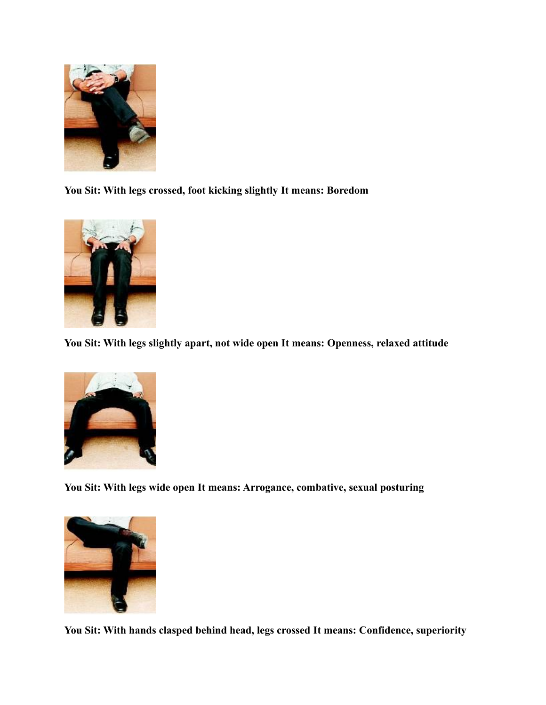

**You Sit: With legs crossed, foot kicking slightly It means: Boredom**



**You Sit: With legs slightly apart, not wide open It means: Openness, relaxed attitude**



**You Sit: With legs wide open It means: Arrogance, combative, sexual posturing**



**You Sit: With hands clasped behind head, legs crossed It means: Confidence, superiority**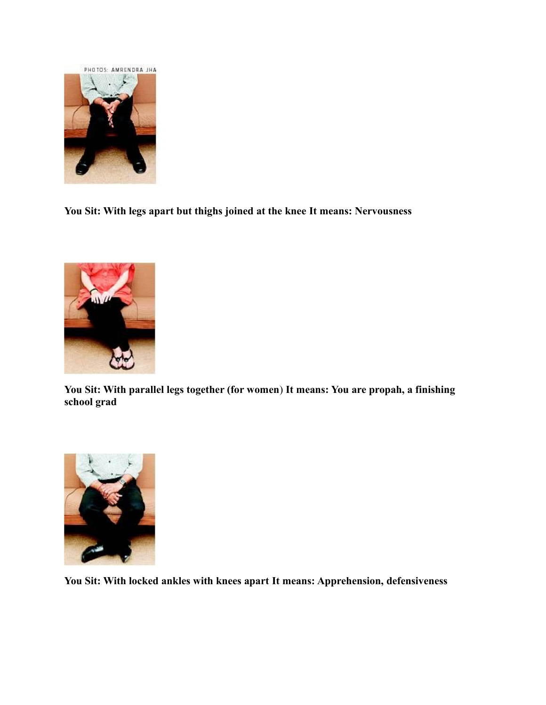

**You Sit: With legs apart but thighs joined at the knee It means: Nervousness**



**You Sit: With parallel legs together (for women**) **It means: You are propah, a finishing school grad**



**You Sit: With locked ankles with knees apart It means: Apprehension, defensiveness**